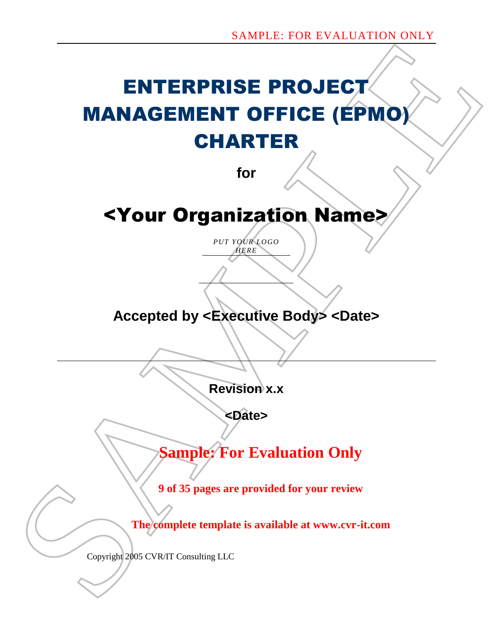# SAMPLE FOR EVALUATION OVER<br>
MANAGEMENT OFFICE (EPMOY<br>
CHARTER<br>
for<br>
SY Our Organization Names<br>
Accepted by <Evecutive Bodys <Dates<br>
Revision x.x<br>
Revision x.x<br>
Revision x.x<br>
Parades<br>
Sample: For Evaluation Only<br>
9 of 35 pa ENTERPRISE PROJECT MANAGEMENT OFFICE (EPMO) CHARTER

**for**

# <Your Organization Name>

*PUT YOUR LOGO HERE*

# **Accepted by <Executive Body> <Date>**

**Revision x.x**

**<Date>**

**Sample: For Evaluation Only**

**9 of 35 pages are provided for your review**

**The complete template is available at www.cvr-it.com**

Copyright 2005 CVR/IT Consulting LLC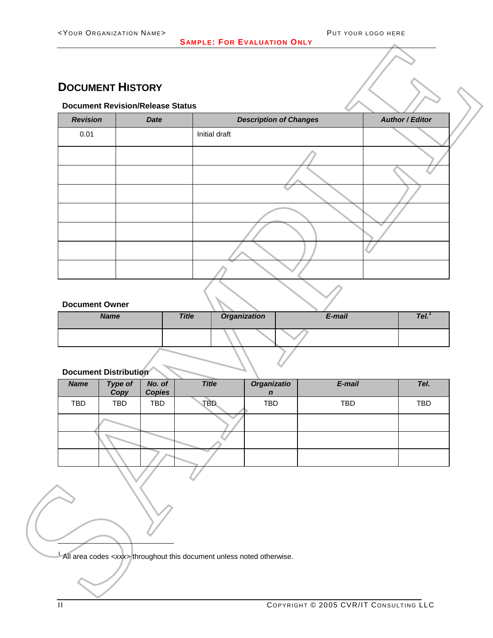## <span id="page-1-0"></span>**DOCUMENT HISTORY**

## **Document Revision/Release Status**

|                       | <b>Revision</b>              | <b>Document Revision/Release Status</b><br><b>Date</b> |               | <b>Description of Changes</b>   |        | <b>Author / Editor</b> |
|-----------------------|------------------------------|--------------------------------------------------------|---------------|---------------------------------|--------|------------------------|
| 0.01                  |                              |                                                        | Initial draft |                                 |        |                        |
|                       |                              |                                                        |               |                                 |        |                        |
|                       |                              |                                                        |               |                                 |        |                        |
|                       |                              |                                                        |               |                                 |        |                        |
|                       |                              |                                                        |               |                                 |        |                        |
|                       |                              |                                                        |               |                                 |        |                        |
|                       |                              |                                                        |               |                                 |        |                        |
|                       |                              |                                                        |               |                                 |        |                        |
|                       |                              |                                                        |               |                                 |        |                        |
| <b>Document Owner</b> | <b>Name</b>                  |                                                        | <b>Title</b>  | <b>Organization</b>             | E-mail | Tel <sup>1</sup>       |
|                       |                              |                                                        |               |                                 |        |                        |
|                       |                              |                                                        |               |                                 |        |                        |
|                       | <b>Document Distribution</b> |                                                        |               |                                 |        |                        |
| <b>Name</b>           | Type of<br>Copy              | No. of<br><b>Copies</b>                                | <b>Title</b>  | Organizatio<br>$\boldsymbol{n}$ | E-mail | Tel.                   |
| TBD                   | TBD                          | TBD                                                    | TBD           | TBD                             | TBD    | TBD                    |
|                       |                              |                                                        |               |                                 |        |                        |
|                       |                              |                                                        |               |                                 |        |                        |
|                       |                              |                                                        |               |                                 |        |                        |
|                       |                              |                                                        |               |                                 |        |                        |
|                       |                              |                                                        |               |                                 |        |                        |
|                       |                              |                                                        |               |                                 |        |                        |
|                       |                              |                                                        |               |                                 |        |                        |

### **Document Owner**

| <b>Name</b> | <b>Title</b> | <b>Organization</b> | E-mail | Tel. |
|-------------|--------------|---------------------|--------|------|
|             |              |                     |        |      |
|             |              |                     |        |      |

## **Document Distribution**

| <b>Name</b> | Type of<br>Copy | No. of<br><b>Copies</b> | <b>Title</b> | Organizatio<br>$\mathbf n$ | E-mail | Tel.       |
|-------------|-----------------|-------------------------|--------------|----------------------------|--------|------------|
| TBD         | <b>TBD</b>      | <b>TBD</b>              | TBD          | <b>TBD</b>                 | TBD    | <b>TBD</b> |
|             |                 |                         |              |                            |        |            |
|             |                 |                         |              |                            |        |            |
|             |                 |                         |              |                            |        |            |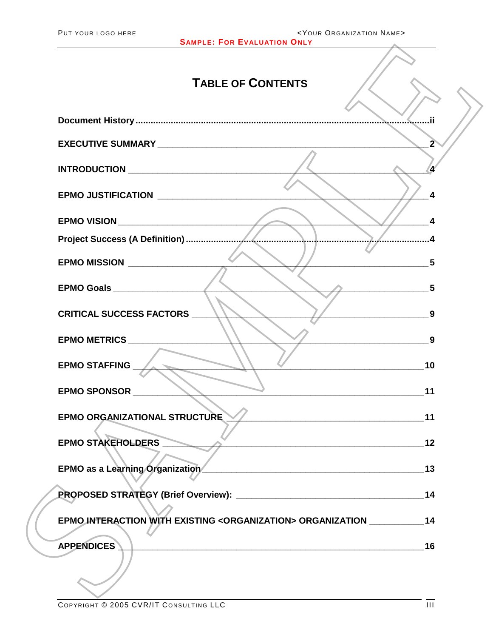| <your name="" organization=""><br/>PUT YOUR LOGO HERE<br/><b>SAMPLE: FOR EVALUATION ONLY</b></your>                                        |                   |
|--------------------------------------------------------------------------------------------------------------------------------------------|-------------------|
| <b>TABLE OF CONTENTS</b>                                                                                                                   |                   |
|                                                                                                                                            |                   |
|                                                                                                                                            |                   |
|                                                                                                                                            |                   |
|                                                                                                                                            | 4                 |
|                                                                                                                                            |                   |
|                                                                                                                                            |                   |
| EPMO MISSION ________________                                                                                                              | 5                 |
|                                                                                                                                            | 5                 |
| <b>CRITICAL SUCCESS FACTORS</b>                                                                                                            | 9                 |
| EPMO METRICS _________________                                                                                                             | 9                 |
| <b>EPMO STAFFING</b>                                                                                                                       | 10                |
|                                                                                                                                            | 11                |
| EPMO ORGANIZATIONAL STRUCTURE                                                                                                              |                   |
| $\overline{\phantom{a}}$<br>EPMO STAKEHOLDERS                                                                                              |                   |
| EPMO as a Learning Organization 13                                                                                                         |                   |
|                                                                                                                                            |                   |
| EPMO INTERACTION WITH EXISTING <organization> ORGANIZATION ____________ 14</organization>                                                  |                   |
| <b>APPENDICES</b><br><u> 2000 - Andrea Andrewski, politik američki profesor († 20. december - 20. december - 20. december - 20. decemb</u> | 16                |
|                                                                                                                                            |                   |
|                                                                                                                                            |                   |
| $\frac{1}{200}$                                                                                                                            | $-\overline{\pi}$ |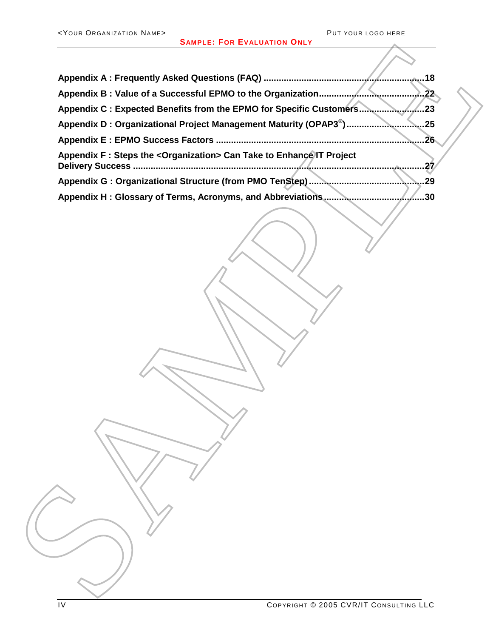| <b>SAMPLE: FOR EVALUATION ONLY</b>                                           |
|------------------------------------------------------------------------------|
| .18                                                                          |
| .22                                                                          |
| Appendix C : Expected Benefits from the EPMO for Specific Customers          |
|                                                                              |
| .26                                                                          |
| Appendix F: Steps the < Organization > Can Take to Enhance IT Project<br>.27 |
|                                                                              |
|                                                                              |
|                                                                              |
|                                                                              |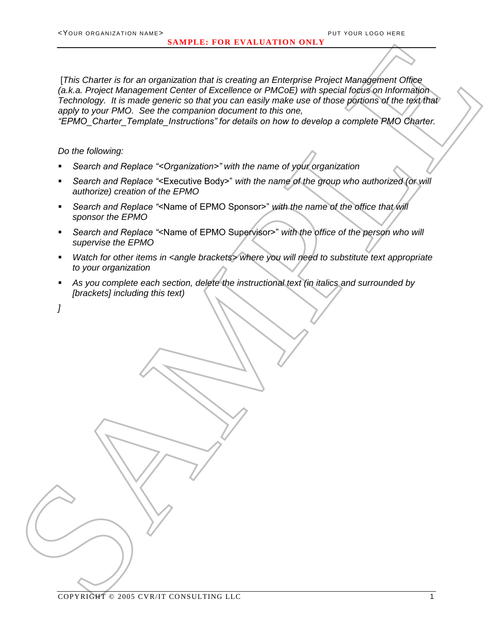The Chanter of the same regulation that is consider an European Change in the content of the change of the change of the change of the change of the change of the change of the change of the change of the change of the ch [*This Charter is for an organization that is creating an Enterprise Project Management Office (a.k.a. Project Management Center of Excellence or PMCoE) with special focus on Information Technology. It is made generic so that you can easily make use of those portions of the text that apply to your PMO. See the companion document to this one,* 

*"EPMO\_Charter\_Template\_Instructions" for details on how to develop a complete PMO Charter.*

*Do the following:*

- *Search and Replace "<Organization>" with the name of your organization*
- *Search and Replace "*<Executive Body>" *with the name of the group who authorized (or will authorize) creation of the EPMO*
- *Search and Replace "*<Name of EPMO Sponsor>" *with the name of the office that will sponsor the EPMO*
- *Search and Replace "*<Name of EPMO Supervisor>" *with the office of the person who will supervise the EPMO*
- *Watch for other items in <angle brackets> where you will need to substitute text appropriate to your organization*
- *As you complete each section, delete the instructional text (in italics and surrounded by [brackets] including this text)*

*]*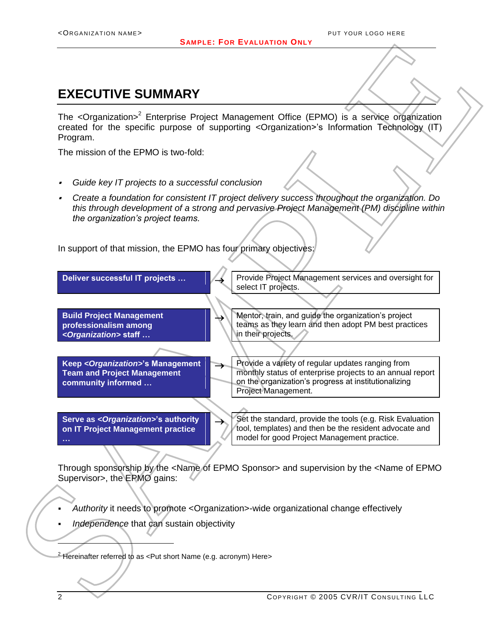## <span id="page-5-0"></span>**EXECUTIVE SUMMARY**

The <Organization><sup>2</sup> Enterprise Project Management Office (EPMO) is a service organization created for the specific purpose of supporting <Organization>'s Information Technology (IT) Program.

The mission of the EPMO is two-fold:

- *Guide key IT projects to a successful conclusion*
- *Create a foundation for consistent IT project delivery success throughout the organization. Do this through development of a strong and pervasive Project Management (PM) discipline within the organization's project teams.*

In support of that mission, the EPMO has four primary objectives:



Through sponsorship by the <Name of EPMO Sponsor> and supervision by the <Name of EPMO Supervisor>, the EPMO gains:

- *Authority* it needs to promote <Organization>-wide organizational change effectively
- *Independence* that can sustain objectivity

Hereinafter referred to as <Put short Name (e.g. acronym) Here>

l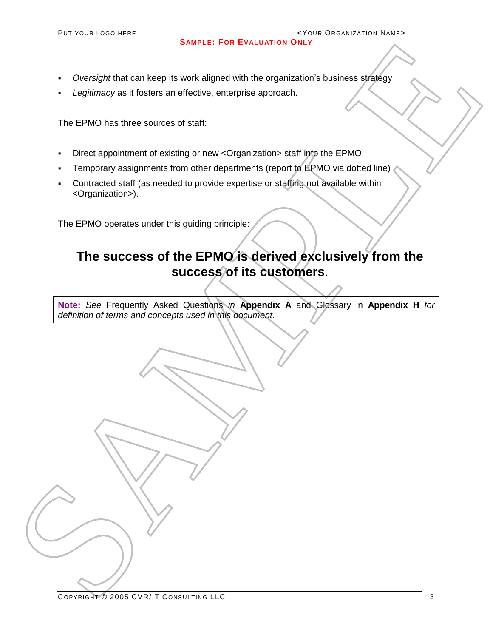**SAMPLE: FOR EVALUATION ONLY**

- *Oversight* that can keep its work aligned with the organization's business strategy
- *Legitimacy* as it fosters an effective, enterprise approach.

The EPMO has three sources of staff:

- Direct appointment of existing or new <Organization> staff into the EPMO
- Temporary assignments from other departments (report to EPMO via dotted line)
- Contracted staff (as needed to provide expertise or staffing not available within <Organization>).

The EPMO operates under this guiding principle:

# SAMPLE FOR EVALUATION CONTROL SURFACE STATE CONTROL CONTROL CONTROL CONTROL CONTROL CONTROL CONTROL CONTROL CONTROL CONTROL CONTROL CONTROL CONTROL CONTROL CONTROL CONTROL CONTROL CONTROL CONTROL CONTROL CONTROL CONTROL CO **The success of the EPMO is derived exclusively from the success of its customers**.

**Note:** *See* Frequently Asked Questions *in* **Appendix A** and Glossary in **Appendix H** *for definition of terms and concepts used in this document.*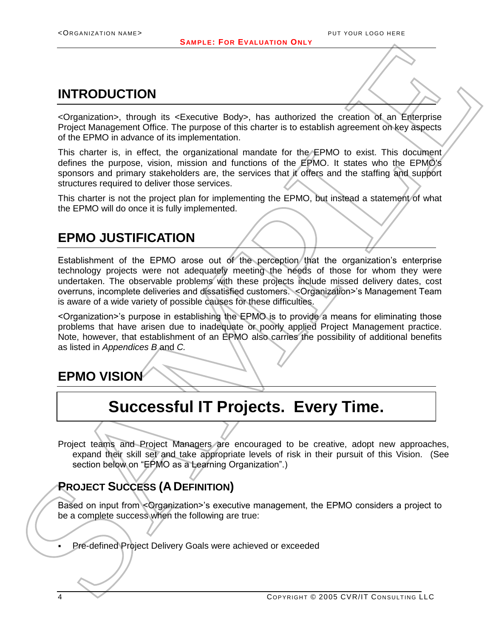## <span id="page-7-0"></span>**INTRODUCTION**

<Organization>, through its <Executive Body>, has authorized the creation of an Enterprise Project Management Office. The purpose of this charter is to establish agreement on key aspects of the EPMO in advance of its implementation.

This charter is, in effect, the organizational mandate for the EPMO to exist. This document defines the purpose, vision, mission and functions of the EPMO. It states who the EPMO's sponsors and primary stakeholders are, the services that it offers and the staffing and support structures required to deliver those services.

This charter is not the project plan for implementing the EPMO, but instead a statement of what the EPMO will do once it is fully implemented.

## <span id="page-7-1"></span>**EPMO JUSTIFICATION**

SAMPLE For EVALUATION<br>
SAMPLE FOR EVALUATION<br>
CORPORATION<br>
CONSISTIONS, The particular control of the state of the state of the state of the state of the state of the state of the state of the state of the state of the st Establishment of the EPMO arose out of the perception that the organization's enterprise technology projects were not adequately meeting the needs of those for whom they were undertaken. The observable problems with these projects include missed delivery dates, cost overruns, incomplete deliveries and dissatisfied customers. <Organization>'s Management Team is aware of a wide variety of possible causes for these difficulties.

<Organization>'s purpose in establishing the EPMO is to provide a means for eliminating those problems that have arisen due to inadequate or poorly applied Project Management practice. Note, however, that establishment of an EPMO also carries the possibility of additional benefits as listed in *Appendices B* and *C.* 

<span id="page-7-2"></span>**EPMO VISION**

## **Successful IT Projects. Every Time.**

Project teams and Project Managers are encouraged to be creative, adopt new approaches, expand their skill set and take appropriate levels of risk in their pursuit of this Vision. (See section below on "EPMO as a Learning Organization".)

## <span id="page-7-3"></span>**PROJECT SUCCESS (ADEFINITION)**

Based on input from <Organization>'s executive management, the EPMO considers a project to be a complete success when the following are true:

Pre-defined Project Delivery Goals were achieved or exceeded